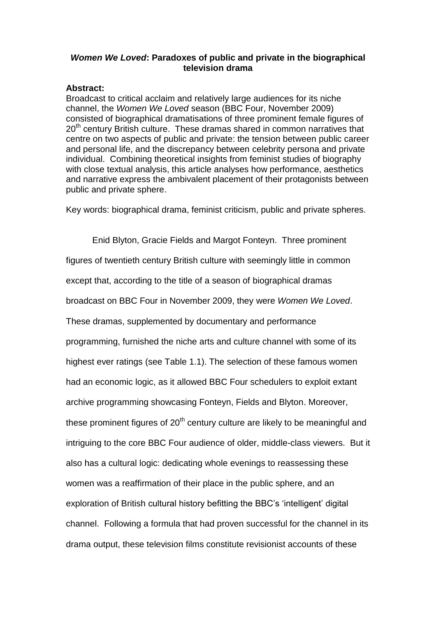# *Women We Loved***: Paradoxes of public and private in the biographical television drama**

# **Abstract:**

Broadcast to critical acclaim and relatively large audiences for its niche channel, the *Women We Loved* season (BBC Four, November 2009) consisted of biographical dramatisations of three prominent female figures of 20<sup>th</sup> century British culture. These dramas shared in common narratives that centre on two aspects of public and private: the tension between public career and personal life, and the discrepancy between celebrity persona and private individual. Combining theoretical insights from feminist studies of biography with close textual analysis, this article analyses how performance, aesthetics and narrative express the ambivalent placement of their protagonists between public and private sphere.

Key words: biographical drama, feminist criticism, public and private spheres.

Enid Blyton, Gracie Fields and Margot Fonteyn. Three prominent figures of twentieth century British culture with seemingly little in common except that, according to the title of a season of biographical dramas broadcast on BBC Four in November 2009, they were *Women We Loved*. These dramas, supplemented by documentary and performance programming, furnished the niche arts and culture channel with some of its highest ever ratings (see Table 1.1). The selection of these famous women had an economic logic, as it allowed BBC Four schedulers to exploit extant archive programming showcasing Fonteyn, Fields and Blyton. Moreover, these prominent figures of  $20<sup>th</sup>$  century culture are likely to be meaningful and intriguing to the core BBC Four audience of older, middle-class viewers. But it also has a cultural logic: dedicating whole evenings to reassessing these women was a reaffirmation of their place in the public sphere, and an exploration of British cultural history befitting the BBC's 'intelligent' digital channel. Following a formula that had proven successful for the channel in its drama output, these television films constitute revisionist accounts of these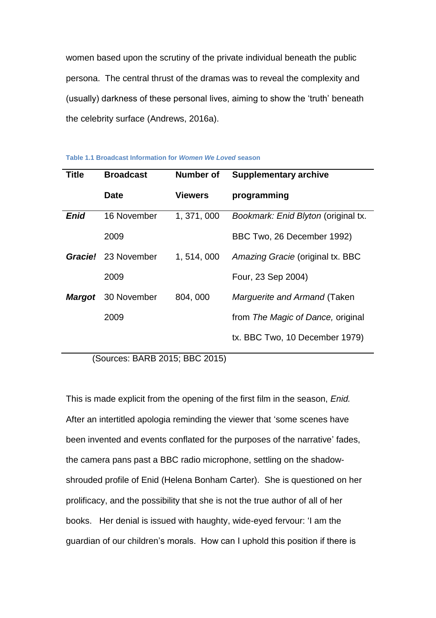women based upon the scrutiny of the private individual beneath the public persona. The central thrust of the dramas was to reveal the complexity and (usually) darkness of these personal lives, aiming to show the 'truth' beneath the celebrity surface (Andrews, 2016a).

| Title       | <b>Broadcast</b>           | Number of      | <b>Supplementary archive</b>        |
|-------------|----------------------------|----------------|-------------------------------------|
|             | <b>Date</b>                | <b>Viewers</b> | programming                         |
| <b>Enid</b> | 16 November                | 1, 371, 000    | Bookmark: Enid Blyton (original tx. |
|             | 2009                       |                | BBC Two, 26 December 1992)          |
|             | <b>Gracie!</b> 23 November | 1, 514, 000    | Amazing Gracie (original tx. BBC    |
|             | 2009                       |                | Four, 23 Sep 2004)                  |
| Margot      | 30 November                | 804,000        | Marguerite and Armand (Taken        |
|             | 2009                       |                | from The Magic of Dance, original   |
|             |                            |                | tx. BBC Two, 10 December 1979)      |

**Table 1.1 Broadcast Information for** *Women We Loved* **season**

(Sources: BARB 2015; BBC 2015)

This is made explicit from the opening of the first film in the season, *Enid.*  After an intertitled apologia reminding the viewer that 'some scenes have been invented and events conflated for the purposes of the narrative' fades, the camera pans past a BBC radio microphone, settling on the shadowshrouded profile of Enid (Helena Bonham Carter). She is questioned on her prolificacy, and the possibility that she is not the true author of all of her books. Her denial is issued with haughty, wide-eyed fervour: 'I am the guardian of our children's morals. How can I uphold this position if there is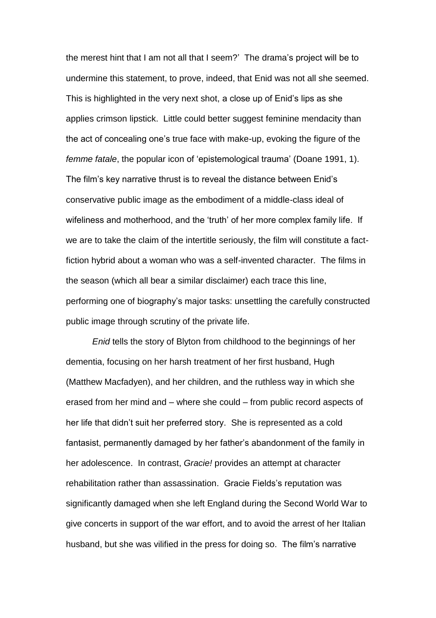the merest hint that I am not all that I seem?' The drama's project will be to undermine this statement, to prove, indeed, that Enid was not all she seemed. This is highlighted in the very next shot, a close up of Enid's lips as she applies crimson lipstick. Little could better suggest feminine mendacity than the act of concealing one's true face with make-up, evoking the figure of the *femme fatale*, the popular icon of 'epistemological trauma' (Doane 1991, 1). The film's key narrative thrust is to reveal the distance between Enid's conservative public image as the embodiment of a middle-class ideal of wifeliness and motherhood, and the 'truth' of her more complex family life. If we are to take the claim of the intertitle seriously, the film will constitute a factfiction hybrid about a woman who was a self-invented character. The films in the season (which all bear a similar disclaimer) each trace this line, performing one of biography's major tasks: unsettling the carefully constructed public image through scrutiny of the private life.

*Enid* tells the story of Blyton from childhood to the beginnings of her dementia, focusing on her harsh treatment of her first husband, Hugh (Matthew Macfadyen), and her children, and the ruthless way in which she erased from her mind and – where she could – from public record aspects of her life that didn't suit her preferred story. She is represented as a cold fantasist, permanently damaged by her father's abandonment of the family in her adolescence. In contrast, *Gracie!* provides an attempt at character rehabilitation rather than assassination. Gracie Fields's reputation was significantly damaged when she left England during the Second World War to give concerts in support of the war effort, and to avoid the arrest of her Italian husband, but she was vilified in the press for doing so. The film's narrative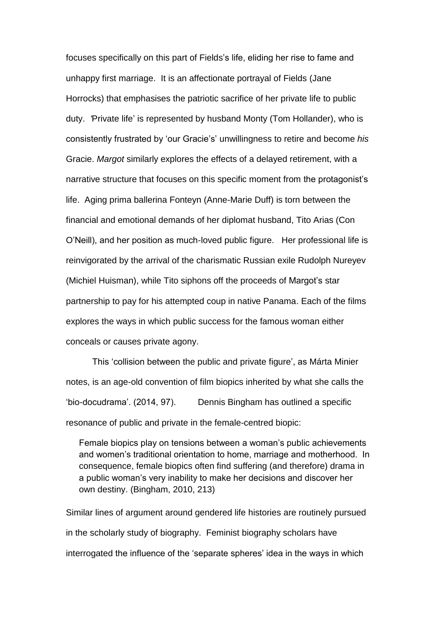focuses specifically on this part of Fields's life, eliding her rise to fame and unhappy first marriage. It is an affectionate portrayal of Fields (Jane Horrocks) that emphasises the patriotic sacrifice of her private life to public duty. *'*Private life' is represented by husband Monty (Tom Hollander), who is consistently frustrated by 'our Gracie's' unwillingness to retire and become *his* Gracie. *Margot* similarly explores the effects of a delayed retirement, with a narrative structure that focuses on this specific moment from the protagonist's life. Aging prima ballerina Fonteyn (Anne-Marie Duff) is torn between the financial and emotional demands of her diplomat husband, Tito Arias (Con O'Neill), and her position as much-loved public figure. Her professional life is reinvigorated by the arrival of the charismatic Russian exile Rudolph Nureyev (Michiel Huisman), while Tito siphons off the proceeds of Margot's star partnership to pay for his attempted coup in native Panama. Each of the films explores the ways in which public success for the famous woman either conceals or causes private agony.

This 'collision between the public and private figure', as Márta Minier notes, is an age-old convention of film biopics inherited by what she calls the 'bio-docudrama'. (2014, 97). Dennis Bingham has outlined a specific resonance of public and private in the female-centred biopic:

Female biopics play on tensions between a woman's public achievements and women's traditional orientation to home, marriage and motherhood. In consequence, female biopics often find suffering (and therefore) drama in a public woman's very inability to make her decisions and discover her own destiny. (Bingham, 2010, 213)

Similar lines of argument around gendered life histories are routinely pursued in the scholarly study of biography. Feminist biography scholars have interrogated the influence of the 'separate spheres' idea in the ways in which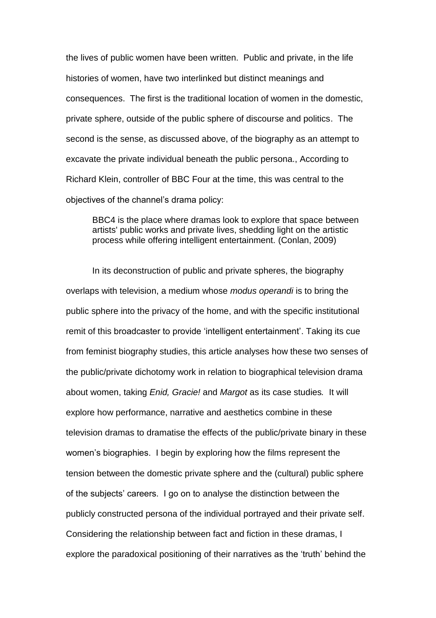the lives of public women have been written. Public and private, in the life histories of women, have two interlinked but distinct meanings and consequences. The first is the traditional location of women in the domestic, private sphere, outside of the public sphere of discourse and politics. The second is the sense, as discussed above, of the biography as an attempt to excavate the private individual beneath the public persona., According to Richard Klein, controller of BBC Four at the time, this was central to the objectives of the channel's drama policy:

BBC4 is the place where dramas look to explore that space between artists' public works and private lives, shedding light on the artistic process while offering intelligent entertainment. (Conlan, 2009)

In its deconstruction of public and private spheres, the biography overlaps with television, a medium whose *modus operandi* is to bring the public sphere into the privacy of the home, and with the specific institutional remit of this broadcaster to provide 'intelligent entertainment'. Taking its cue from feminist biography studies, this article analyses how these two senses of the public/private dichotomy work in relation to biographical television drama about women, taking *Enid, Gracie!* and *Margot* as its case studies*.* It will explore how performance, narrative and aesthetics combine in these television dramas to dramatise the effects of the public/private binary in these women's biographies. I begin by exploring how the films represent the tension between the domestic private sphere and the (cultural) public sphere of the subjects' careers. I go on to analyse the distinction between the publicly constructed persona of the individual portrayed and their private self. Considering the relationship between fact and fiction in these dramas, I explore the paradoxical positioning of their narratives as the 'truth' behind the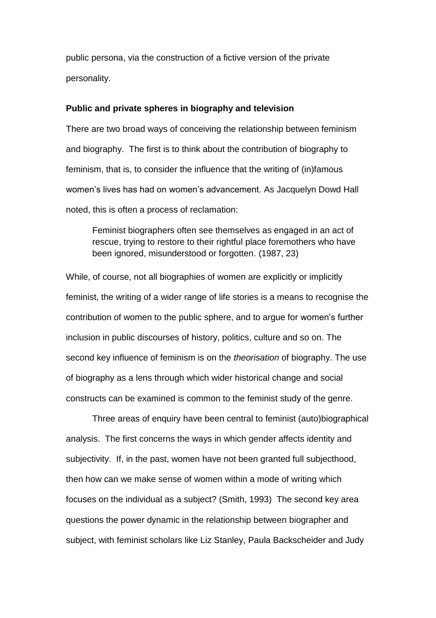public persona, via the construction of a fictive version of the private personality.

### **Public and private spheres in biography and television**

There are two broad ways of conceiving the relationship between feminism and biography. The first is to think about the contribution of biography to feminism, that is, to consider the influence that the writing of (in)famous women's lives has had on women's advancement. As Jacquelyn Dowd Hall noted, this is often a process of reclamation:

Feminist biographers often see themselves as engaged in an act of rescue, trying to restore to their rightful place foremothers who have been ignored, misunderstood or forgotten. (1987, 23)

While, of course, not all biographies of women are explicitly or implicitly feminist, the writing of a wider range of life stories is a means to recognise the contribution of women to the public sphere, and to argue for women's further inclusion in public discourses of history, politics, culture and so on. The second key influence of feminism is on the *theorisation* of biography. The use of biography as a lens through which wider historical change and social constructs can be examined is common to the feminist study of the genre.

Three areas of enquiry have been central to feminist (auto)biographical analysis. The first concerns the ways in which gender affects identity and subjectivity. If, in the past, women have not been granted full subjecthood, then how can we make sense of women within a mode of writing which focuses on the individual as a subject? (Smith, 1993) The second key area questions the power dynamic in the relationship between biographer and subject, with feminist scholars like Liz Stanley, Paula Backscheider and Judy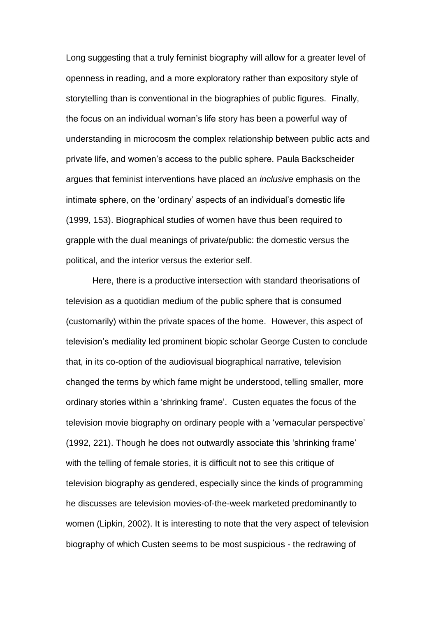Long suggesting that a truly feminist biography will allow for a greater level of openness in reading, and a more exploratory rather than expository style of storytelling than is conventional in the biographies of public figures. Finally, the focus on an individual woman's life story has been a powerful way of understanding in microcosm the complex relationship between public acts and private life, and women's access to the public sphere. Paula Backscheider argues that feminist interventions have placed an *inclusive* emphasis on the intimate sphere, on the 'ordinary' aspects of an individual's domestic life (1999, 153). Biographical studies of women have thus been required to grapple with the dual meanings of private/public: the domestic versus the political, and the interior versus the exterior self.

Here, there is a productive intersection with standard theorisations of television as a quotidian medium of the public sphere that is consumed (customarily) within the private spaces of the home. However, this aspect of television's mediality led prominent biopic scholar George Custen to conclude that, in its co-option of the audiovisual biographical narrative, television changed the terms by which fame might be understood, telling smaller, more ordinary stories within a 'shrinking frame'. Custen equates the focus of the television movie biography on ordinary people with a 'vernacular perspective' (1992, 221). Though he does not outwardly associate this 'shrinking frame' with the telling of female stories, it is difficult not to see this critique of television biography as gendered, especially since the kinds of programming he discusses are television movies-of-the-week marketed predominantly to women (Lipkin, 2002). It is interesting to note that the very aspect of television biography of which Custen seems to be most suspicious - the redrawing of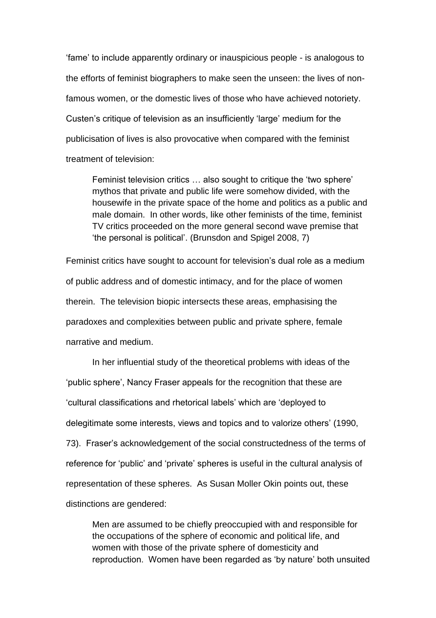'fame' to include apparently ordinary or inauspicious people - is analogous to the efforts of feminist biographers to make seen the unseen: the lives of nonfamous women, or the domestic lives of those who have achieved notoriety. Custen's critique of television as an insufficiently 'large' medium for the publicisation of lives is also provocative when compared with the feminist treatment of television:

Feminist television critics … also sought to critique the 'two sphere' mythos that private and public life were somehow divided, with the housewife in the private space of the home and politics as a public and male domain. In other words, like other feminists of the time, feminist TV critics proceeded on the more general second wave premise that 'the personal is political'. (Brunsdon and Spigel 2008, 7)

Feminist critics have sought to account for television's dual role as a medium of public address and of domestic intimacy, and for the place of women therein. The television biopic intersects these areas, emphasising the paradoxes and complexities between public and private sphere, female narrative and medium.

In her influential study of the theoretical problems with ideas of the 'public sphere', Nancy Fraser appeals for the recognition that these are 'cultural classifications and rhetorical labels' which are 'deployed to delegitimate some interests, views and topics and to valorize others' (1990, 73). Fraser's acknowledgement of the social constructedness of the terms of reference for 'public' and 'private' spheres is useful in the cultural analysis of representation of these spheres. As Susan Moller Okin points out, these distinctions are gendered:

Men are assumed to be chiefly preoccupied with and responsible for the occupations of the sphere of economic and political life, and women with those of the private sphere of domesticity and reproduction. Women have been regarded as 'by nature' both unsuited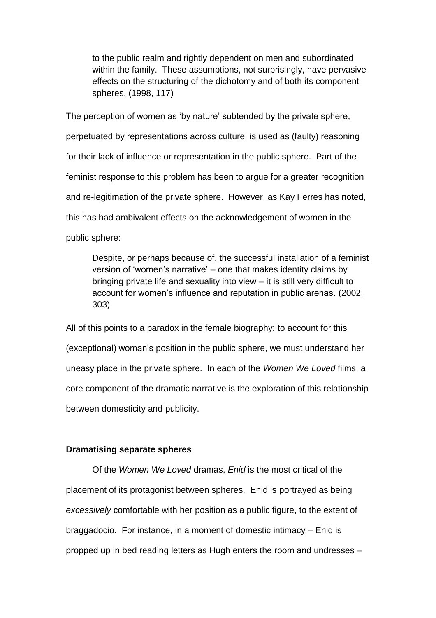to the public realm and rightly dependent on men and subordinated within the family. These assumptions, not surprisingly, have pervasive effects on the structuring of the dichotomy and of both its component spheres. (1998, 117)

The perception of women as 'by nature' subtended by the private sphere, perpetuated by representations across culture, is used as (faulty) reasoning for their lack of influence or representation in the public sphere. Part of the feminist response to this problem has been to argue for a greater recognition and re-legitimation of the private sphere. However, as Kay Ferres has noted, this has had ambivalent effects on the acknowledgement of women in the public sphere:

Despite, or perhaps because of, the successful installation of a feminist version of 'women's narrative' – one that makes identity claims by bringing private life and sexuality into view – it is still very difficult to account for women's influence and reputation in public arenas. (2002, 303)

All of this points to a paradox in the female biography: to account for this (exceptional) woman's position in the public sphere, we must understand her uneasy place in the private sphere. In each of the *Women We Loved* films, a core component of the dramatic narrative is the exploration of this relationship between domesticity and publicity.

#### **Dramatising separate spheres**

Of the *Women We Loved* dramas, *Enid* is the most critical of the placement of its protagonist between spheres. Enid is portrayed as being *excessively* comfortable with her position as a public figure, to the extent of braggadocio. For instance, in a moment of domestic intimacy – Enid is propped up in bed reading letters as Hugh enters the room and undresses –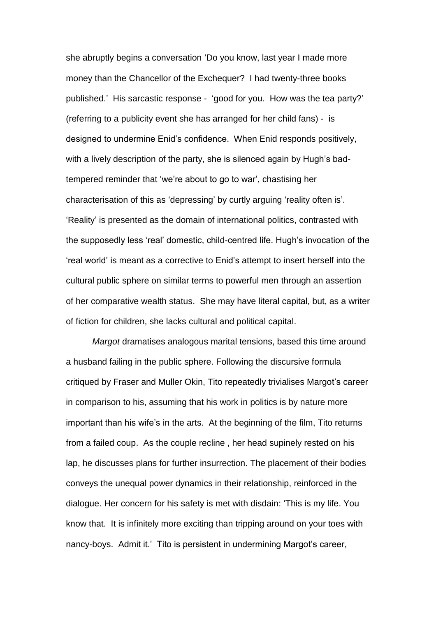she abruptly begins a conversation 'Do you know, last year I made more money than the Chancellor of the Exchequer? I had twenty-three books published.' His sarcastic response - 'good for you. How was the tea party?' (referring to a publicity event she has arranged for her child fans) - is designed to undermine Enid's confidence. When Enid responds positively, with a lively description of the party, she is silenced again by Hugh's badtempered reminder that 'we're about to go to war', chastising her characterisation of this as 'depressing' by curtly arguing 'reality often is'. 'Reality' is presented as the domain of international politics, contrasted with the supposedly less 'real' domestic, child-centred life. Hugh's invocation of the 'real world' is meant as a corrective to Enid's attempt to insert herself into the cultural public sphere on similar terms to powerful men through an assertion of her comparative wealth status. She may have literal capital, but, as a writer of fiction for children, she lacks cultural and political capital.

*Margot* dramatises analogous marital tensions, based this time around a husband failing in the public sphere. Following the discursive formula critiqued by Fraser and Muller Okin, Tito repeatedly trivialises Margot's career in comparison to his, assuming that his work in politics is by nature more important than his wife's in the arts. At the beginning of the film, Tito returns from a failed coup. As the couple recline , her head supinely rested on his lap, he discusses plans for further insurrection. The placement of their bodies conveys the unequal power dynamics in their relationship, reinforced in the dialogue. Her concern for his safety is met with disdain: 'This is my life. You know that. It is infinitely more exciting than tripping around on your toes with nancy-boys. Admit it.' Tito is persistent in undermining Margot's career,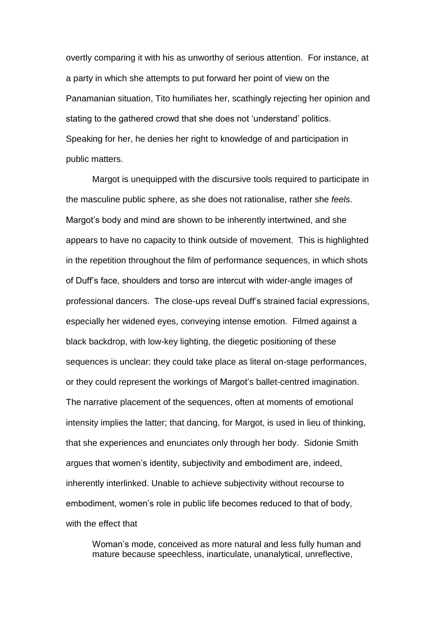overtly comparing it with his as unworthy of serious attention. For instance, at a party in which she attempts to put forward her point of view on the Panamanian situation, Tito humiliates her, scathingly rejecting her opinion and stating to the gathered crowd that she does not 'understand' politics. Speaking for her, he denies her right to knowledge of and participation in public matters.

Margot is unequipped with the discursive tools required to participate in the masculine public sphere, as she does not rationalise, rather she *feels*. Margot's body and mind are shown to be inherently intertwined, and she appears to have no capacity to think outside of movement. This is highlighted in the repetition throughout the film of performance sequences, in which shots of Duff's face, shoulders and torso are intercut with wider-angle images of professional dancers. The close-ups reveal Duff's strained facial expressions, especially her widened eyes, conveying intense emotion. Filmed against a black backdrop, with low-key lighting, the diegetic positioning of these sequences is unclear: they could take place as literal on-stage performances, or they could represent the workings of Margot's ballet-centred imagination. The narrative placement of the sequences, often at moments of emotional intensity implies the latter; that dancing, for Margot, is used in lieu of thinking, that she experiences and enunciates only through her body. Sidonie Smith argues that women's identity, subjectivity and embodiment are, indeed, inherently interlinked. Unable to achieve subjectivity without recourse to embodiment, women's role in public life becomes reduced to that of body, with the effect that

Woman's mode, conceived as more natural and less fully human and mature because speechless, inarticulate, unanalytical, unreflective,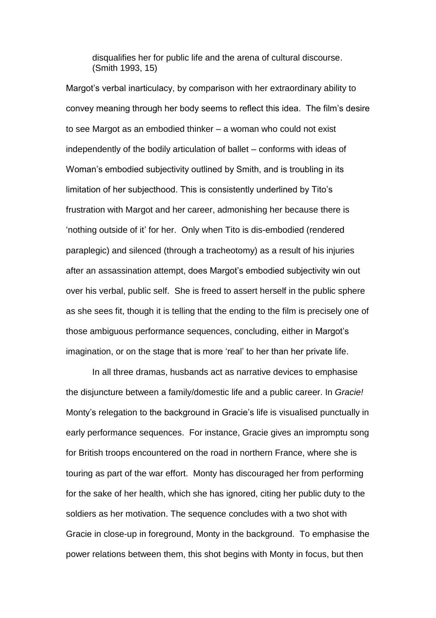disqualifies her for public life and the arena of cultural discourse. (Smith 1993, 15)

Margot's verbal inarticulacy, by comparison with her extraordinary ability to convey meaning through her body seems to reflect this idea. The film's desire to see Margot as an embodied thinker – a woman who could not exist independently of the bodily articulation of ballet – conforms with ideas of Woman's embodied subjectivity outlined by Smith, and is troubling in its limitation of her subjecthood. This is consistently underlined by Tito's frustration with Margot and her career, admonishing her because there is 'nothing outside of it' for her. Only when Tito is dis-embodied (rendered paraplegic) and silenced (through a tracheotomy) as a result of his injuries after an assassination attempt, does Margot's embodied subjectivity win out over his verbal, public self. She is freed to assert herself in the public sphere as she sees fit, though it is telling that the ending to the film is precisely one of those ambiguous performance sequences, concluding, either in Margot's imagination, or on the stage that is more 'real' to her than her private life.

In all three dramas, husbands act as narrative devices to emphasise the disjuncture between a family/domestic life and a public career. In *Gracie!* Monty's relegation to the background in Gracie's life is visualised punctually in early performance sequences. For instance, Gracie gives an impromptu song for British troops encountered on the road in northern France, where she is touring as part of the war effort. Monty has discouraged her from performing for the sake of her health, which she has ignored, citing her public duty to the soldiers as her motivation. The sequence concludes with a two shot with Gracie in close-up in foreground, Monty in the background. To emphasise the power relations between them, this shot begins with Monty in focus, but then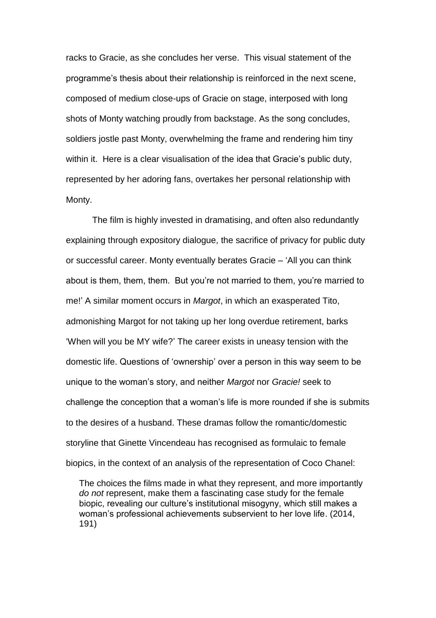racks to Gracie, as she concludes her verse. This visual statement of the programme's thesis about their relationship is reinforced in the next scene, composed of medium close-ups of Gracie on stage, interposed with long shots of Monty watching proudly from backstage. As the song concludes, soldiers jostle past Monty, overwhelming the frame and rendering him tiny within it. Here is a clear visualisation of the idea that Gracie's public duty, represented by her adoring fans, overtakes her personal relationship with Monty.

The film is highly invested in dramatising, and often also redundantly explaining through expository dialogue, the sacrifice of privacy for public duty or successful career. Monty eventually berates Gracie – 'All you can think about is them, them, them. But you're not married to them, you're married to me!' A similar moment occurs in *Margot*, in which an exasperated Tito, admonishing Margot for not taking up her long overdue retirement, barks 'When will you be MY wife?' The career exists in uneasy tension with the domestic life. Questions of 'ownership' over a person in this way seem to be unique to the woman's story, and neither *Margot* nor *Gracie!* seek to challenge the conception that a woman's life is more rounded if she is submits to the desires of a husband. These dramas follow the romantic/domestic storyline that Ginette Vincendeau has recognised as formulaic to female biopics, in the context of an analysis of the representation of Coco Chanel:

The choices the films made in what they represent, and more importantly *do not* represent, make them a fascinating case study for the female biopic, revealing our culture's institutional misogyny, which still makes a woman's professional achievements subservient to her love life. (2014, 191)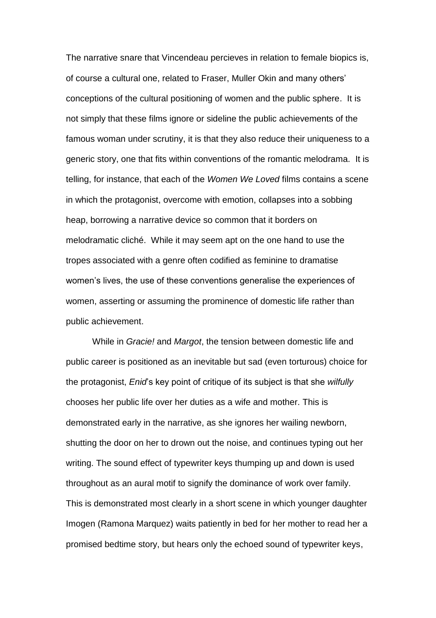The narrative snare that Vincendeau percieves in relation to female biopics is, of course a cultural one, related to Fraser, Muller Okin and many others' conceptions of the cultural positioning of women and the public sphere. It is not simply that these films ignore or sideline the public achievements of the famous woman under scrutiny, it is that they also reduce their uniqueness to a generic story, one that fits within conventions of the romantic melodrama. It is telling, for instance, that each of the *Women We Loved* films contains a scene in which the protagonist, overcome with emotion, collapses into a sobbing heap, borrowing a narrative device so common that it borders on melodramatic cliché. While it may seem apt on the one hand to use the tropes associated with a genre often codified as feminine to dramatise women's lives, the use of these conventions generalise the experiences of women, asserting or assuming the prominence of domestic life rather than public achievement.

While in *Gracie!* and *Margot*, the tension between domestic life and public career is positioned as an inevitable but sad (even torturous) choice for the protagonist, *Enid*'s key point of critique of its subject is that she *wilfully* chooses her public life over her duties as a wife and mother. This is demonstrated early in the narrative, as she ignores her wailing newborn, shutting the door on her to drown out the noise, and continues typing out her writing. The sound effect of typewriter keys thumping up and down is used throughout as an aural motif to signify the dominance of work over family. This is demonstrated most clearly in a short scene in which younger daughter Imogen (Ramona Marquez) waits patiently in bed for her mother to read her a promised bedtime story, but hears only the echoed sound of typewriter keys,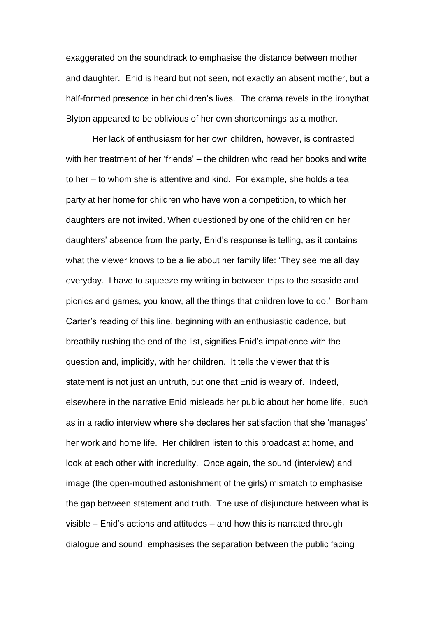exaggerated on the soundtrack to emphasise the distance between mother and daughter. Enid is heard but not seen, not exactly an absent mother, but a half-formed presence in her children's lives. The drama revels in the ironythat Blyton appeared to be oblivious of her own shortcomings as a mother.

Her lack of enthusiasm for her own children, however, is contrasted with her treatment of her 'friends' – the children who read her books and write to her – to whom she is attentive and kind. For example, she holds a tea party at her home for children who have won a competition, to which her daughters are not invited. When questioned by one of the children on her daughters' absence from the party, Enid's response is telling, as it contains what the viewer knows to be a lie about her family life: 'They see me all day everyday. I have to squeeze my writing in between trips to the seaside and picnics and games, you know, all the things that children love to do.' Bonham Carter's reading of this line, beginning with an enthusiastic cadence, but breathily rushing the end of the list, signifies Enid's impatience with the question and, implicitly, with her children. It tells the viewer that this statement is not just an untruth, but one that Enid is weary of. Indeed, elsewhere in the narrative Enid misleads her public about her home life, such as in a radio interview where she declares her satisfaction that she 'manages' her work and home life. Her children listen to this broadcast at home, and look at each other with incredulity. Once again, the sound (interview) and image (the open-mouthed astonishment of the girls) mismatch to emphasise the gap between statement and truth. The use of disjuncture between what is visible – Enid's actions and attitudes – and how this is narrated through dialogue and sound, emphasises the separation between the public facing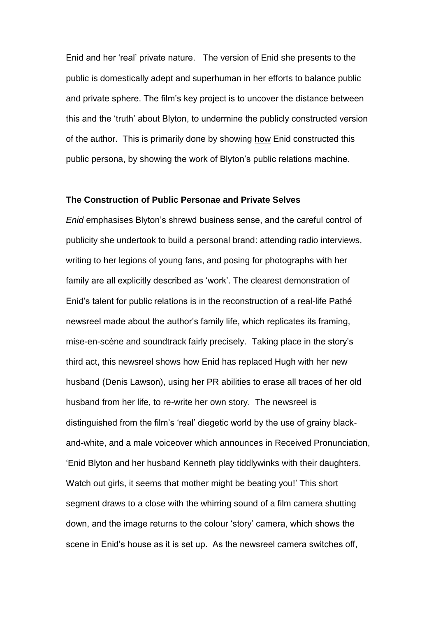Enid and her 'real' private nature. The version of Enid she presents to the public is domestically adept and superhuman in her efforts to balance public and private sphere. The film's key project is to uncover the distance between this and the 'truth' about Blyton, to undermine the publicly constructed version of the author. This is primarily done by showing how Enid constructed this public persona, by showing the work of Blyton's public relations machine.

#### **The Construction of Public Personae and Private Selves**

*Enid* emphasises Blyton's shrewd business sense, and the careful control of publicity she undertook to build a personal brand: attending radio interviews, writing to her legions of young fans, and posing for photographs with her family are all explicitly described as 'work'. The clearest demonstration of Enid's talent for public relations is in the reconstruction of a real-life Pathé newsreel made about the author's family life, which replicates its framing, mise-en-scène and soundtrack fairly precisely. Taking place in the story's third act, this newsreel shows how Enid has replaced Hugh with her new husband (Denis Lawson), using her PR abilities to erase all traces of her old husband from her life, to re-write her own story. The newsreel is distinguished from the film's 'real' diegetic world by the use of grainy blackand-white, and a male voiceover which announces in Received Pronunciation, 'Enid Blyton and her husband Kenneth play tiddlywinks with their daughters. Watch out girls, it seems that mother might be beating you!' This short segment draws to a close with the whirring sound of a film camera shutting down, and the image returns to the colour 'story' camera, which shows the scene in Enid's house as it is set up. As the newsreel camera switches off,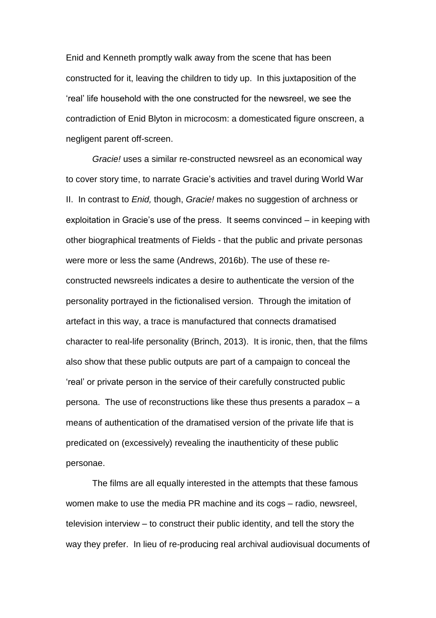Enid and Kenneth promptly walk away from the scene that has been constructed for it, leaving the children to tidy up. In this juxtaposition of the 'real' life household with the one constructed for the newsreel, we see the contradiction of Enid Blyton in microcosm: a domesticated figure onscreen, a negligent parent off-screen.

*Gracie!* uses a similar re-constructed newsreel as an economical way to cover story time, to narrate Gracie's activities and travel during World War II. In contrast to *Enid,* though, *Gracie!* makes no suggestion of archness or exploitation in Gracie's use of the press. It seems convinced – in keeping with other biographical treatments of Fields - that the public and private personas were more or less the same (Andrews, 2016b). The use of these reconstructed newsreels indicates a desire to authenticate the version of the personality portrayed in the fictionalised version. Through the imitation of artefact in this way, a trace is manufactured that connects dramatised character to real-life personality (Brinch, 2013). It is ironic, then, that the films also show that these public outputs are part of a campaign to conceal the 'real' or private person in the service of their carefully constructed public persona. The use of reconstructions like these thus presents a paradox – a means of authentication of the dramatised version of the private life that is predicated on (excessively) revealing the inauthenticity of these public personae.

The films are all equally interested in the attempts that these famous women make to use the media PR machine and its cogs – radio, newsreel, television interview – to construct their public identity, and tell the story the way they prefer. In lieu of re-producing real archival audiovisual documents of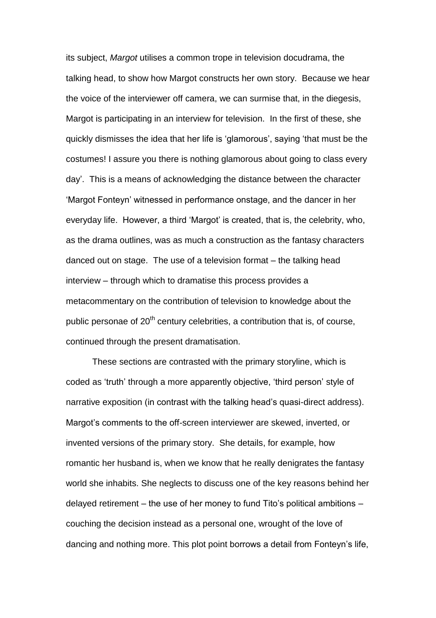its subject, *Margot* utilises a common trope in television docudrama, the talking head, to show how Margot constructs her own story. Because we hear the voice of the interviewer off camera, we can surmise that, in the diegesis, Margot is participating in an interview for television. In the first of these, she quickly dismisses the idea that her life is 'glamorous', saying 'that must be the costumes! I assure you there is nothing glamorous about going to class every day'. This is a means of acknowledging the distance between the character 'Margot Fonteyn' witnessed in performance onstage, and the dancer in her everyday life. However, a third 'Margot' is created, that is, the celebrity, who, as the drama outlines, was as much a construction as the fantasy characters danced out on stage. The use of a television format – the talking head interview – through which to dramatise this process provides a metacommentary on the contribution of television to knowledge about the public personae of  $20<sup>th</sup>$  century celebrities, a contribution that is, of course, continued through the present dramatisation.

These sections are contrasted with the primary storyline, which is coded as 'truth' through a more apparently objective, 'third person' style of narrative exposition (in contrast with the talking head's quasi-direct address). Margot's comments to the off-screen interviewer are skewed, inverted, or invented versions of the primary story. She details, for example, how romantic her husband is, when we know that he really denigrates the fantasy world she inhabits. She neglects to discuss one of the key reasons behind her delayed retirement – the use of her money to fund Tito's political ambitions – couching the decision instead as a personal one, wrought of the love of dancing and nothing more. This plot point borrows a detail from Fonteyn's life,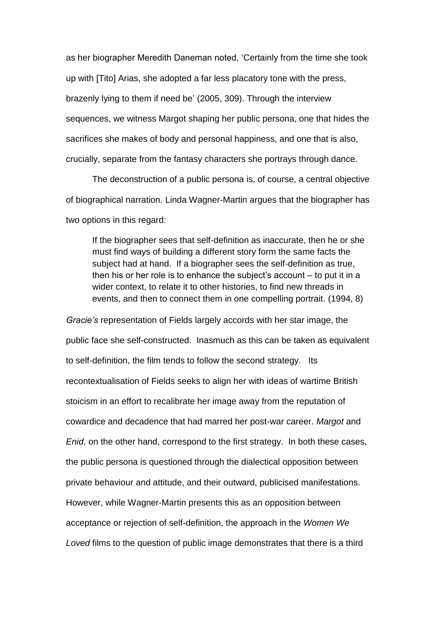as her biographer Meredith Daneman noted, 'Certainly from the time she took up with [Tito] Arias, she adopted a far less placatory tone with the press, brazenly lying to them if need be' (2005, 309). Through the interview sequences, we witness Margot shaping her public persona, one that hides the sacrifices she makes of body and personal happiness, and one that is also, crucially, separate from the fantasy characters she portrays through dance.

The deconstruction of a public persona is, of course, a central objective of biographical narration. Linda Wagner-Martin argues that the biographer has two options in this regard:

If the biographer sees that self-definition as inaccurate, then he or she must find ways of building a different story form the same facts the subject had at hand. If a biographer sees the self-definition as true, then his or her role is to enhance the subject's account – to put it in a wider context, to relate it to other histories, to find new threads in events, and then to connect them in one compelling portrait. (1994, 8)

*Gracie's* representation of Fields largely accords with her star image, the public face she self-constructed. Inasmuch as this can be taken as equivalent to self-definition, the film tends to follow the second strategy. Its recontextualisation of Fields seeks to align her with ideas of wartime British stoicism in an effort to recalibrate her image away from the reputation of cowardice and decadence that had marred her post-war career. *Margot* and *Enid,* on the other hand, correspond to the first strategy. In both these cases, the public persona is questioned through the dialectical opposition between private behaviour and attitude, and their outward, publicised manifestations. However, while Wagner-Martin presents this as an opposition between acceptance or rejection of self-definition, the approach in the *Women We Loved* films to the question of public image demonstrates that there is a third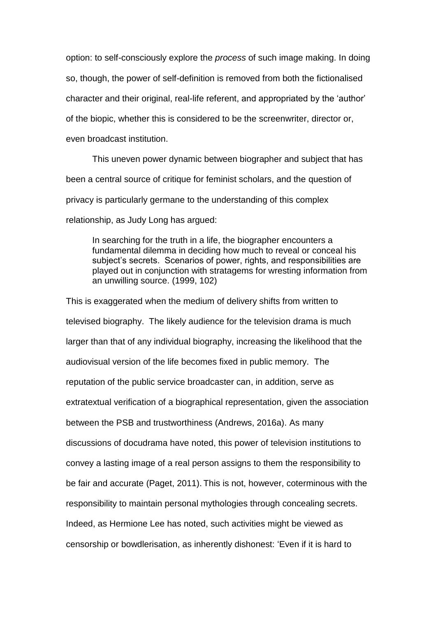option: to self-consciously explore the *process* of such image making. In doing so, though, the power of self-definition is removed from both the fictionalised character and their original, real-life referent, and appropriated by the 'author' of the biopic, whether this is considered to be the screenwriter, director or, even broadcast institution.

This uneven power dynamic between biographer and subject that has been a central source of critique for feminist scholars, and the question of privacy is particularly germane to the understanding of this complex relationship, as Judy Long has argued:

In searching for the truth in a life, the biographer encounters a fundamental dilemma in deciding how much to reveal or conceal his subject's secrets. Scenarios of power, rights, and responsibilities are played out in conjunction with stratagems for wresting information from an unwilling source. (1999, 102)

This is exaggerated when the medium of delivery shifts from written to televised biography. The likely audience for the television drama is much larger than that of any individual biography, increasing the likelihood that the audiovisual version of the life becomes fixed in public memory. The reputation of the public service broadcaster can, in addition, serve as extratextual verification of a biographical representation, given the association between the PSB and trustworthiness (Andrews, 2016a). As many discussions of docudrama have noted, this power of television institutions to convey a lasting image of a real person assigns to them the responsibility to be fair and accurate (Paget, 2011). This is not, however, coterminous with the responsibility to maintain personal mythologies through concealing secrets. Indeed, as Hermione Lee has noted, such activities might be viewed as censorship or bowdlerisation, as inherently dishonest: 'Even if it is hard to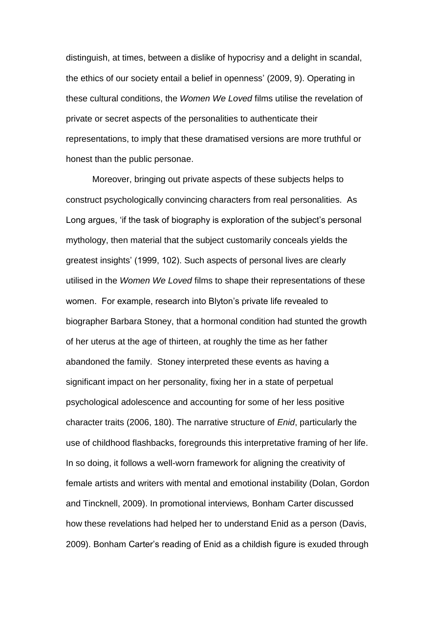distinguish, at times, between a dislike of hypocrisy and a delight in scandal, the ethics of our society entail a belief in openness' (2009, 9). Operating in these cultural conditions, the *Women We Loved* films utilise the revelation of private or secret aspects of the personalities to authenticate their representations, to imply that these dramatised versions are more truthful or honest than the public personae.

Moreover, bringing out private aspects of these subjects helps to construct psychologically convincing characters from real personalities. As Long argues, 'if the task of biography is exploration of the subject's personal mythology, then material that the subject customarily conceals yields the greatest insights' (1999, 102). Such aspects of personal lives are clearly utilised in the *Women We Loved* films to shape their representations of these women. For example, research into Blyton's private life revealed to biographer Barbara Stoney, that a hormonal condition had stunted the growth of her uterus at the age of thirteen, at roughly the time as her father abandoned the family. Stoney interpreted these events as having a significant impact on her personality, fixing her in a state of perpetual psychological adolescence and accounting for some of her less positive character traits (2006, 180). The narrative structure of *Enid*, particularly the use of childhood flashbacks, foregrounds this interpretative framing of her life. In so doing, it follows a well-worn framework for aligning the creativity of female artists and writers with mental and emotional instability (Dolan, Gordon and Tincknell, 2009). In promotional interviews*,* Bonham Carter discussed how these revelations had helped her to understand Enid as a person (Davis, 2009). Bonham Carter's reading of Enid as a childish figure is exuded through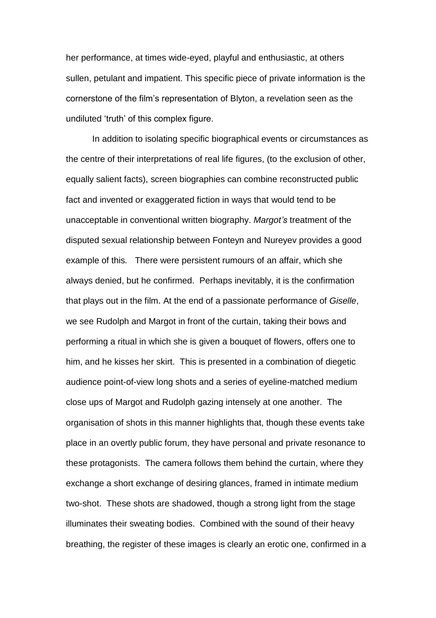her performance, at times wide-eyed, playful and enthusiastic, at others sullen, petulant and impatient. This specific piece of private information is the cornerstone of the film's representation of Blyton, a revelation seen as the undiluted 'truth' of this complex figure.

In addition to isolating specific biographical events or circumstances as the centre of their interpretations of real life figures, (to the exclusion of other, equally salient facts), screen biographies can combine reconstructed public fact and invented or exaggerated fiction in ways that would tend to be unacceptable in conventional written biography. *Margot's* treatment of the disputed sexual relationship between Fonteyn and Nureyev provides a good example of this*.* There were persistent rumours of an affair, which she always denied, but he confirmed. Perhaps inevitably, it is the confirmation that plays out in the film. At the end of a passionate performance of *Giselle*, we see Rudolph and Margot in front of the curtain, taking their bows and performing a ritual in which she is given a bouquet of flowers, offers one to him, and he kisses her skirt. This is presented in a combination of diegetic audience point-of-view long shots and a series of eyeline-matched medium close ups of Margot and Rudolph gazing intensely at one another. The organisation of shots in this manner highlights that, though these events take place in an overtly public forum, they have personal and private resonance to these protagonists. The camera follows them behind the curtain, where they exchange a short exchange of desiring glances, framed in intimate medium two-shot. These shots are shadowed, though a strong light from the stage illuminates their sweating bodies. Combined with the sound of their heavy breathing, the register of these images is clearly an erotic one, confirmed in a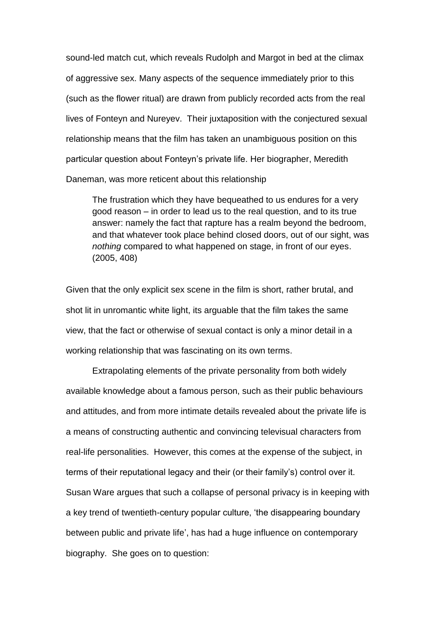sound-led match cut, which reveals Rudolph and Margot in bed at the climax of aggressive sex. Many aspects of the sequence immediately prior to this (such as the flower ritual) are drawn from publicly recorded acts from the real lives of Fonteyn and Nureyev. Their juxtaposition with the conjectured sexual relationship means that the film has taken an unambiguous position on this particular question about Fonteyn's private life. Her biographer, Meredith Daneman, was more reticent about this relationship

The frustration which they have bequeathed to us endures for a very good reason – in order to lead us to the real question, and to its true answer: namely the fact that rapture has a realm beyond the bedroom, and that whatever took place behind closed doors, out of our sight, was *nothing* compared to what happened on stage, in front of our eyes. (2005, 408)

Given that the only explicit sex scene in the film is short, rather brutal, and shot lit in unromantic white light, its arguable that the film takes the same view, that the fact or otherwise of sexual contact is only a minor detail in a working relationship that was fascinating on its own terms.

Extrapolating elements of the private personality from both widely available knowledge about a famous person, such as their public behaviours and attitudes, and from more intimate details revealed about the private life is a means of constructing authentic and convincing televisual characters from real-life personalities. However, this comes at the expense of the subject, in terms of their reputational legacy and their (or their family's) control over it. Susan Ware argues that such a collapse of personal privacy is in keeping with a key trend of twentieth-century popular culture, 'the disappearing boundary between public and private life', has had a huge influence on contemporary biography. She goes on to question: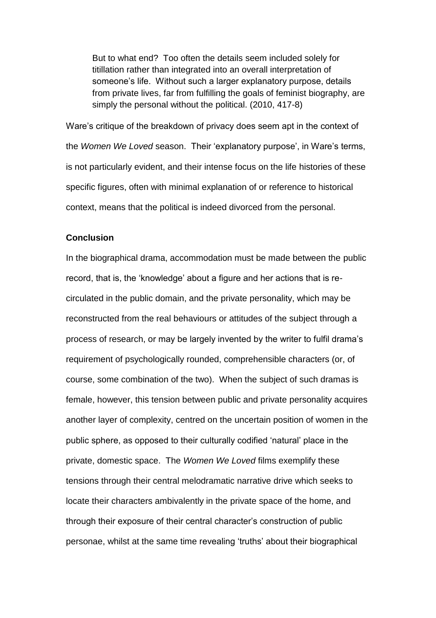But to what end? Too often the details seem included solely for titillation rather than integrated into an overall interpretation of someone's life. Without such a larger explanatory purpose, details from private lives, far from fulfilling the goals of feminist biography, are simply the personal without the political. (2010, 417-8)

Ware's critique of the breakdown of privacy does seem apt in the context of the *Women We Loved* season. Their 'explanatory purpose', in Ware's terms, is not particularly evident, and their intense focus on the life histories of these specific figures, often with minimal explanation of or reference to historical context, means that the political is indeed divorced from the personal.

## **Conclusion**

In the biographical drama, accommodation must be made between the public record, that is, the 'knowledge' about a figure and her actions that is recirculated in the public domain, and the private personality, which may be reconstructed from the real behaviours or attitudes of the subject through a process of research, or may be largely invented by the writer to fulfil drama's requirement of psychologically rounded, comprehensible characters (or, of course, some combination of the two). When the subject of such dramas is female, however, this tension between public and private personality acquires another layer of complexity, centred on the uncertain position of women in the public sphere, as opposed to their culturally codified 'natural' place in the private, domestic space. The *Women We Loved* films exemplify these tensions through their central melodramatic narrative drive which seeks to locate their characters ambivalently in the private space of the home, and through their exposure of their central character's construction of public personae, whilst at the same time revealing 'truths' about their biographical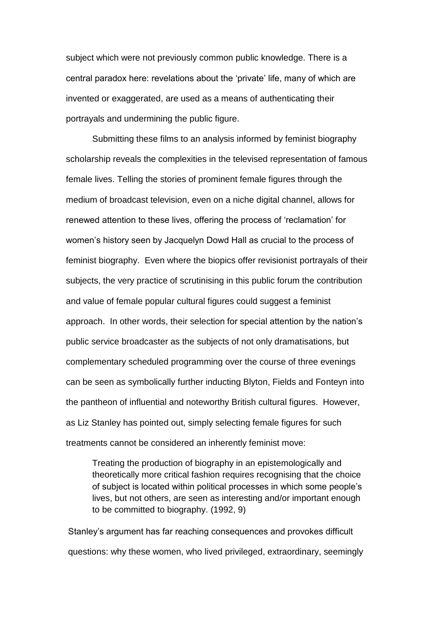subject which were not previously common public knowledge. There is a central paradox here: revelations about the 'private' life, many of which are invented or exaggerated, are used as a means of authenticating their portrayals and undermining the public figure.

Submitting these films to an analysis informed by feminist biography scholarship reveals the complexities in the televised representation of famous female lives. Telling the stories of prominent female figures through the medium of broadcast television, even on a niche digital channel, allows for renewed attention to these lives, offering the process of 'reclamation' for women's history seen by Jacquelyn Dowd Hall as crucial to the process of feminist biography. Even where the biopics offer revisionist portrayals of their subjects, the very practice of scrutinising in this public forum the contribution and value of female popular cultural figures could suggest a feminist approach. In other words, their selection for special attention by the nation's public service broadcaster as the subjects of not only dramatisations, but complementary scheduled programming over the course of three evenings can be seen as symbolically further inducting Blyton, Fields and Fonteyn into the pantheon of influential and noteworthy British cultural figures. However, as Liz Stanley has pointed out, simply selecting female figures for such treatments cannot be considered an inherently feminist move:

Treating the production of biography in an epistemologically and theoretically more critical fashion requires recognising that the choice of subject is located within political processes in which some people's lives, but not others, are seen as interesting and/or important enough to be committed to biography. (1992, 9)

Stanley's argument has far reaching consequences and provokes difficult questions: why these women, who lived privileged, extraordinary, seemingly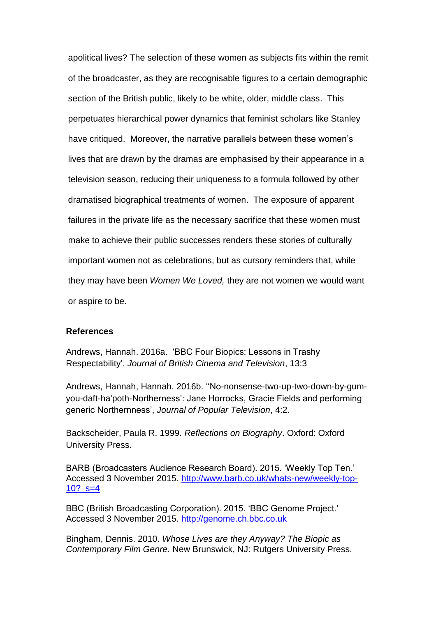apolitical lives? The selection of these women as subjects fits within the remit of the broadcaster, as they are recognisable figures to a certain demographic section of the British public, likely to be white, older, middle class. This perpetuates hierarchical power dynamics that feminist scholars like Stanley have critiqued. Moreover, the narrative parallels between these women's lives that are drawn by the dramas are emphasised by their appearance in a television season, reducing their uniqueness to a formula followed by other dramatised biographical treatments of women. The exposure of apparent failures in the private life as the necessary sacrifice that these women must make to achieve their public successes renders these stories of culturally important women not as celebrations, but as cursory reminders that, while they may have been *Women We Loved,* they are not women we would want or aspire to be.

### **References**

Andrews, Hannah. 2016a. 'BBC Four Biopics: Lessons in Trashy Respectability'. *Journal of British Cinema and Television*, 13:3

Andrews, Hannah, Hannah. 2016b. ''No-nonsense-two-up-two-down-by-gumyou-daft-ha'poth-Northerness': Jane Horrocks, Gracie Fields and performing generic Northernness', *Journal of Popular Television*, 4:2.

Backscheider, Paula R. 1999. *Reflections on Biography*. Oxford: Oxford University Press.

BARB (Broadcasters Audience Research Board). 2015. 'Weekly Top Ten.' Accessed 3 November 2015. [http://www.barb.co.uk/whats-new/weekly-top-](http://www.barb.co.uk/whats-new/weekly-top-10?_s=4)10?  $s=4$ 

BBC (British Broadcasting Corporation). 2015. 'BBC Genome Project.' Accessed 3 November 2015. [http://genome.ch.bbc.co.uk](http://genome.ch.bbc.co.uk/)

Bingham, Dennis. 2010. *Whose Lives are they Anyway? The Biopic as Contemporary Film Genre.* New Brunswick, NJ: Rutgers University Press.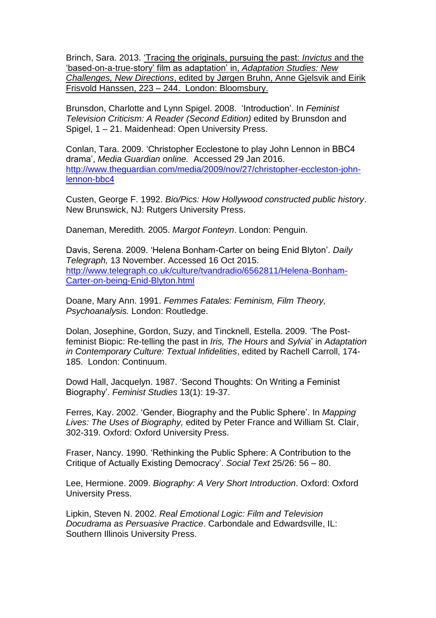Brinch, Sara. 2013. 'Tracing the originals, pursuing the past: *Invictus* and the 'based-on-a-true-story' film as adaptation' in, *Adaptation Studies: New Challenges, New Directions*, edited by Jørgen Bruhn, Anne Gjelsvik and Eirik Frisvold Hanssen, 223 – 244. London: Bloomsbury.

Brunsdon, Charlotte and Lynn Spigel. 2008. 'Introduction'. In *Feminist Television Criticism: A Reader (Second Edition)* edited by Brunsdon and Spigel, 1 – 21. Maidenhead: Open University Press.

Conlan, Tara. 2009. 'Christopher Ecclestone to play John Lennon in BBC4 drama', *Media Guardian online.* Accessed 29 Jan 2016. [http://www.theguardian.com/media/2009/nov/27/christopher-eccleston-john](http://www.theguardian.com/media/2009/nov/27/christopher-eccleston-john-lennon-bbc4)[lennon-bbc4](http://www.theguardian.com/media/2009/nov/27/christopher-eccleston-john-lennon-bbc4)

Custen, George F. 1992. *Bio/Pics: How Hollywood constructed public history*. New Brunswick, NJ: Rutgers University Press.

Daneman, Meredith*.* 2005. *Margot Fonteyn*. London: Penguin.

Davis, Serena. 2009. 'Helena Bonham-Carter on being Enid Blyton'. *Daily Telegraph,* 13 November. Accessed 16 Oct 2015. [http://www.telegraph.co.uk/culture/tvandradio/6562811/Helena-Bonham-](http://www.telegraph.co.uk/culture/tvandradio/6562811/Helena-Bonham-Carter-on-being-Enid-Blyton.html)[Carter-on-being-Enid-Blyton.html](http://www.telegraph.co.uk/culture/tvandradio/6562811/Helena-Bonham-Carter-on-being-Enid-Blyton.html)

Doane, Mary Ann. 1991. *Femmes Fatales: Feminism, Film Theory, Psychoanalysis.* London: Routledge.

Dolan, Josephine, Gordon, Suzy, and Tincknell, Estella. 2009. 'The Postfeminist Biopic: Re-telling the past in *Iris, The Hours* and *Sylvia*' in *Adaptation in Contemporary Culture: Textual Infidelities*, edited by Rachell Carroll, 174- 185. London: Continuum.

Dowd Hall, Jacquelyn. 1987. 'Second Thoughts: On Writing a Feminist Biography'. *Feminist Studies* 13(1): 19-37.

Ferres, Kay. 2002. 'Gender, Biography and the Public Sphere'. In *Mapping Lives: The Uses of Biography,* edited by Peter France and William St. Clair, 302-319. Oxford: Oxford University Press.

Fraser, Nancy. 1990. 'Rethinking the Public Sphere: A Contribution to the Critique of Actually Existing Democracy'. *Social Text* 25/26: 56 – 80.

Lee, Hermione. 2009. *Biography: A Very Short Introduction*. Oxford: Oxford University Press.

Lipkin, Steven N. 2002. *Real Emotional Logic: Film and Television Docudrama as Persuasive Practice*. Carbondale and Edwardsville, IL: Southern Illinois University Press.